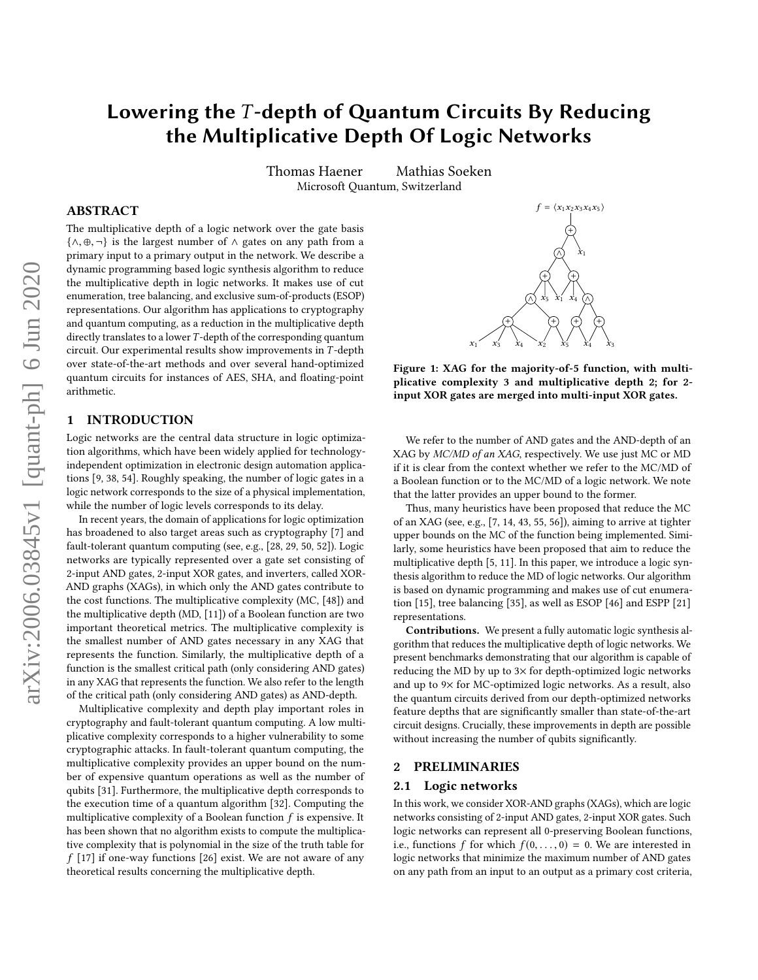# Lowering the  $T$ -depth of Quantum Circuits By Reducing the Multiplicative Depth Of Logic Networks

Thomas Haener Mathias Soeken Microsoft Quantum, Switzerland

# ABSTRACT

The multiplicative depth of a logic network over the gate basis  $\{\wedge, \oplus, \neg\}$  is the largest number of  $\wedge$  gates on any path from a primary input to a primary output in the network. We describe a dynamic programming based logic synthesis algorithm to reduce the multiplicative depth in logic networks. It makes use of cut enumeration, tree balancing, and exclusive sum-of-products (ESOP) representations. Our algorithm has applications to cryptography and quantum computing, as a reduction in the multiplicative depth directly translates to a lower  $T$ -depth of the corresponding quantum circuit. Our experimental results show improvements in T -depth over state-of-the-art methods and over several hand-optimized quantum circuits for instances of AES, SHA, and floating-point arithmetic.

#### 1 INTRODUCTION

Logic networks are the central data structure in logic optimization algorithms, which have been widely applied for technologyindependent optimization in electronic design automation applications [\[9,](#page-6-0) [38,](#page-7-0) [54\]](#page-7-1). Roughly speaking, the number of logic gates in a logic network corresponds to the size of a physical implementation, while the number of logic levels corresponds to its delay.

In recent years, the domain of applications for logic optimization has broadened to also target areas such as cryptography [\[7\]](#page-6-1) and fault-tolerant quantum computing (see, e.g., [\[28,](#page-7-2) [29,](#page-7-3) [50,](#page-7-4) [52\]](#page-7-5)). Logic networks are typically represented over a gate set consisting of 2-input AND gates, 2-input XOR gates, and inverters, called XOR-AND graphs (XAGs), in which only the AND gates contribute to the cost functions. The multiplicative complexity (MC, [\[48\]](#page-7-6)) and the multiplicative depth (MD, [\[11\]](#page-7-7)) of a Boolean function are two important theoretical metrics. The multiplicative complexity is the smallest number of AND gates necessary in any XAG that represents the function. Similarly, the multiplicative depth of a function is the smallest critical path (only considering AND gates) in any XAG that represents the function. We also refer to the length of the critical path (only considering AND gates) as AND-depth.

Multiplicative complexity and depth play important roles in cryptography and fault-tolerant quantum computing. A low multiplicative complexity corresponds to a higher vulnerability to some cryptographic attacks. In fault-tolerant quantum computing, the multiplicative complexity provides an upper bound on the number of expensive quantum operations as well as the number of qubits [\[31\]](#page-7-8). Furthermore, the multiplicative depth corresponds to the execution time of a quantum algorithm [\[32\]](#page-7-9). Computing the multiplicative complexity of a Boolean function  $f$  is expensive. It has been shown that no algorithm exists to compute the multiplicative complexity that is polynomial in the size of the truth table for  $f$  [\[17\]](#page-7-10) if one-way functions [\[26\]](#page-7-11) exist. We are not aware of any theoretical results concerning the multiplicative depth.

<span id="page-0-0"></span>

Figure 1: XAG for the majority-of-5 function, with multiplicative complexity 3 and multiplicative depth 2; for 2 input XOR gates are merged into multi-input XOR gates.

We refer to the number of AND gates and the AND-depth of an XAG by MC/MD of an XAG, respectively. We use just MC or MD if it is clear from the context whether we refer to the MC/MD of a Boolean function or to the MC/MD of a logic network. We note that the latter provides an upper bound to the former.

Thus, many heuristics have been proposed that reduce the MC of an XAG (see, e.g., [\[7,](#page-6-1) [14,](#page-7-12) [43,](#page-7-13) [55,](#page-7-14) [56\]](#page-7-15)), aiming to arrive at tighter upper bounds on the MC of the function being implemented. Similarly, some heuristics have been proposed that aim to reduce the multiplicative depth [\[5,](#page-6-2) [11\]](#page-7-7). In this paper, we introduce a logic synthesis algorithm to reduce the MD of logic networks. Our algorithm is based on dynamic programming and makes use of cut enumeration [\[15\]](#page-7-16), tree balancing [\[35\]](#page-7-17), as well as ESOP [\[46\]](#page-7-18) and ESPP [\[21\]](#page-7-19) representations.

Contributions. We present a fully automatic logic synthesis algorithm that reduces the multiplicative depth of logic networks. We present benchmarks demonstrating that our algorithm is capable of reducing the MD by up to 3× for depth-optimized logic networks and up to 9× for MC-optimized logic networks. As a result, also the quantum circuits derived from our depth-optimized networks feature depths that are significantly smaller than state-of-the-art circuit designs. Crucially, these improvements in depth are possible without increasing the number of qubits significantly.

## 2 PRELIMINARIES

## 2.1 Logic networks

In this work, we consider XOR-AND graphs (XAGs), which are logic networks consisting of 2-input AND gates, 2-input XOR gates. Such logic networks can represent all 0-preserving Boolean functions, i.e., functions f for which  $f(0, \ldots, 0) = 0$ . We are interested in logic networks that minimize the maximum number of AND gates on any path from an input to an output as a primary cost criteria,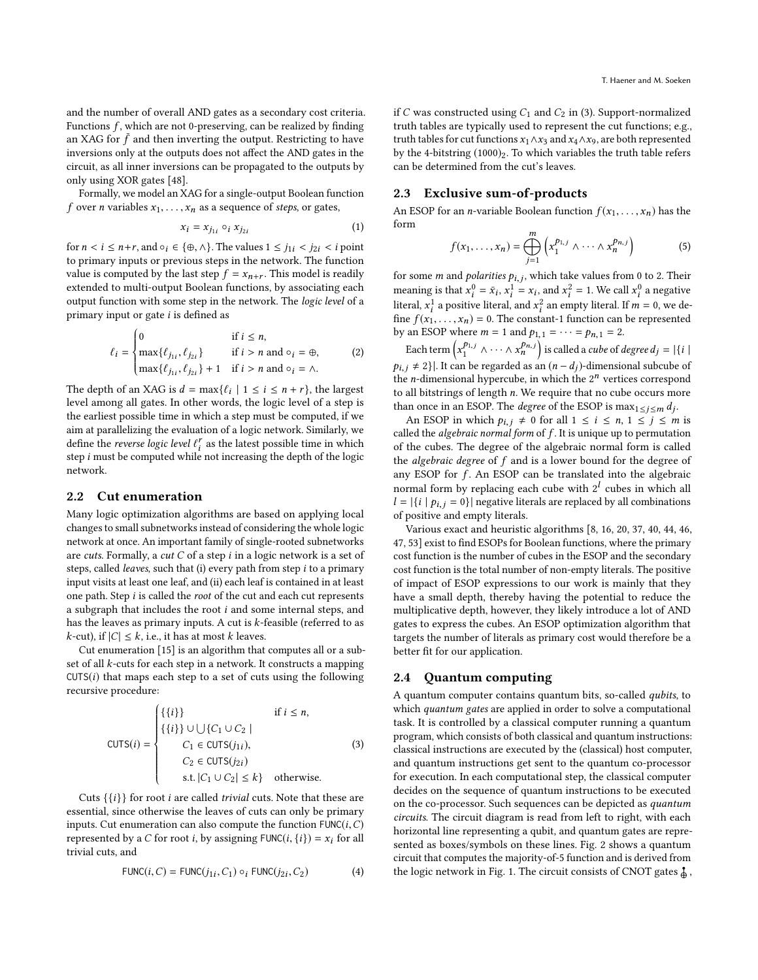Formally, we model an XAG for a single-output Boolean function f over *n* variables  $x_1, \ldots, x_n$  as a sequence of *steps*, or gates,

$$
x_i = x_{j_{1i}} \circ_i x_{j_{2i}} \tag{1}
$$

for  $n < i \leq n+r$ , and  $\circ_i \in {\oplus, \wedge}$ . The values  $1 \leq j_{1i} < j_{2i} < i$  point to primary inputs or previous steps in the network. The function value is computed by the last step  $f = x_{n+r}$ . This model is readily extended to multi-output Boolean functions, by associating each output function with some step in the network. The logic level of a primary input or gate  $i$  is defined as

$$
\ell_{i} = \begin{cases}\n0 & \text{if } i \leq n, \\
\max\{\ell_{j_{1i}}, \ell_{j_{2i}}\} & \text{if } i > n \text{ and } \circ_{i} = \oplus, \\
\max\{\ell_{j_{1i}}, \ell_{j_{2i}}\} + 1 & \text{if } i > n \text{ and } \circ_{i} = \wedge.\n\end{cases}
$$
\n(2)

The depth of an XAG is  $d = \max\{\ell_i \mid 1 \le i \le n + r\}$ , the largest<br>level among all gates. In other words, the logic level of a step is level among all gates. In other words, the logic level of a step is the earliest possible time in which a step must be computed, if we aim at parallelizing the evaluation of a logic network. Similarly, we define the *reverse logic level*  $\ell_i^r$  as the latest possible time in which<br>step i must be computed while not increasing the depth of the logic step *i* must be computed while not increasing the depth of the logic<br>network network.

## 2.2 Cut enumeration

Many logic optimization algorithms are based on applying local changes to small subnetworks instead of considering the whole logic network at once. An important family of single-rooted subnetworks are cuts. Formally, a cut  $C$  of a step  $i$  in a logic network is a set of steps, called *leaves*, such that (i) every path from step  $i$  to a primary input visits at least one leaf, and (ii) each leaf is contained in at least one path. Step i is called the root of the cut and each cut represents a subgraph that includes the root i and some internal steps, and has the leaves as primary inputs. A cut is  $k$ -feasible (referred to as  $k$ -cut), if  $|C| \leq k$ , i.e., it has at most k leaves.

Cut enumeration [\[15\]](#page-7-16) is an algorithm that computes all or a subset of all k-cuts for each step in a network. It constructs a mapping  $CUTS(i)$  that maps each step to a set of cuts using the following recursive procedure:

<span id="page-1-0"></span>
$$
\text{CUTS}(i) = \begin{cases} \{\{i\}\} & \text{if } i \leq n, \\ \{\{i\}\} \cup \bigcup \{C_1 \cup C_2 \mid C_1 \in \text{CUTS}(j_{1i}), \\ C_1 \in \text{CUTS}(j_{2i}) \\ C_2 \in \text{CUTS}(j_{2i}) \\ \text{s.t. } |C_1 \cup C_2| \leq k \} & \text{otherwise.} \end{cases} \tag{3}
$$

Cuts  $\{\{i\}\}\$  for root *i* are called *trivial* cuts. Note that these are essential, since otherwise the leaves of cuts can only be primary inputs. Cut enumeration can also compute the function  $\text{FUNC}(i, C)$ represented by a C for root *i*, by assigning  $FlINC(i, \{i\}) = x_i$  for all trivial cuts, and

$$
\text{FUNCTION}(i, C) = \text{FUNCTION}(j_{1i}, C_1) \circ_i \text{ FUNCTION}(j_{2i}, C_2) \tag{4}
$$

if C was constructed using  $C_1$  and  $C_2$  in [\(3\)](#page-1-0). Support-normalized truth tables are typically used to represent the cut functions; e.g., truth tables for cut functions  $x_1 \wedge x_3$  and  $x_4 \wedge x_9$ , are both represented by the 4-bitstring  $(1000)_2$ . To which variables the truth table refers can be determined from the cut's leaves.

# 2.3 Exclusive sum-of-products

An ESOP for an *n*-variable Boolean function  $f(x_1, \ldots, x_n)$  has the form

$$
f(x_1,\ldots,x_n) = \bigoplus_{j=1}^n \left( x_1^{p_{1,j}} \wedge \cdots \wedge x_n^{p_{n,j}} \right) \tag{5}
$$

for some *m* and *polarities*  $p_{i,j}$ , which take values from 0 to 2. Their<br>meaning is that  $x^0 = \bar{x}$ ,  $x^1 = x$ , and  $x^2 = 1$ . We call  $x^0$  a negative meaning is that  $x_i^0 = \bar{x}_i$ ,  $x_i^1 = x_i$ , and  $x_i^2 = 1$ . We call  $x_i^0$  a negative literal,  $x_i^1$  a positive literal, and  $x_i^2$  an empty literal. If  $m = 0$ , we define  $f(x_i, y_i) = 0$ . The constant-1 function can be represented fine  $f(x_1, ..., x_n) = 0$ . The constant-1 function can be represented<br>by an ESOP where  $m = 1$  and  $b(x_1, ..., x_n) = 2$ . by an ESOP where  $m = 1$  and  $p_{1,1} = \cdots = p_{n,1} = 2$ .

Each term  $\left(x_1^{p_{1,j}} \wedge \cdots \wedge x_n^{p_{n,j}}\right)$  is called a *cube* of *degree d<sub>j</sub>* =  $|\{i\}|$  $p_{i,j} \neq 2$ ]. It can be regarded as an  $(n-d_j)$ -dimensional subcube of the n-dimensional hypervulse in which the 2<sup>n</sup> vertices correspond the *n*-dimensional hypercube, in which the  $2^n$  vertices correspond<br>to all bitetrings of length *n* We require that no cube occurs more to all bitstrings of length n. We require that no cube occurs more than once in an ESOP. The *degree* of the ESOP is  $\max_{1 \le j \le m} d_j$ .<br>An ESOP in which  $\alpha_{1 \le j \le n}$  of or all  $1 \le i \le n, 1 \le j \le m$ 

An ESOP in which  $p_{i,j} \neq 0$  for all  $1 \leq i \leq n, 1 \leq j \leq m$  is called the *algebraic normal form* of  $f$ . It is unique up to permutation of the cubes. The degree of the algebraic normal form is called the *algebraic degree* of  $f$  and is a lower bound for the degree of any ESOP for  $f$ . An ESOP can be translated into the algebraic normal form by replacing each cube with  $2<sup>l</sup>$  cubes in which all  $l = |\{i | p_{i,j} = 0\}|$  negative literals are replaced by all combinations of positive and empty literals.

Various exact and heuristic algorithms [\[8,](#page-6-3) [16,](#page-7-20) [20,](#page-7-21) [37,](#page-7-22) [40,](#page-7-23) [44,](#page-7-24) [46,](#page-7-18) [47,](#page-7-25) [53\]](#page-7-26) exist to find ESOPs for Boolean functions, where the primary cost function is the number of cubes in the ESOP and the secondary cost function is the total number of non-empty literals. The positive of impact of ESOP expressions to our work is mainly that they have a small depth, thereby having the potential to reduce the multiplicative depth, however, they likely introduce a lot of AND gates to express the cubes. An ESOP optimization algorithm that targets the number of literals as primary cost would therefore be a better fit for our application.

#### 2.4 Quantum computing

A quantum computer contains quantum bits, so-called qubits, to which quantum gates are applied in order to solve a computational task. It is controlled by a classical computer running a quantum program, which consists of both classical and quantum instructions: classical instructions are executed by the (classical) host computer, and quantum instructions get sent to the quantum co-processor for execution. In each computational step, the classical computer decides on the sequence of quantum instructions to be executed on the co-processor. Such sequences can be depicted as quantum circuits. The circuit diagram is read from left to right, with each horizontal line representing a qubit, and quantum gates are represented as boxes/symbols on these lines. Fig. [2](#page-2-0) shows a quantum circuit that computes the majority-of-5 function and is derived from the logic network in Fig. [1.](#page-0-0) The circuit consists of CNOT gates  $\frac{1}{\phi}$ ,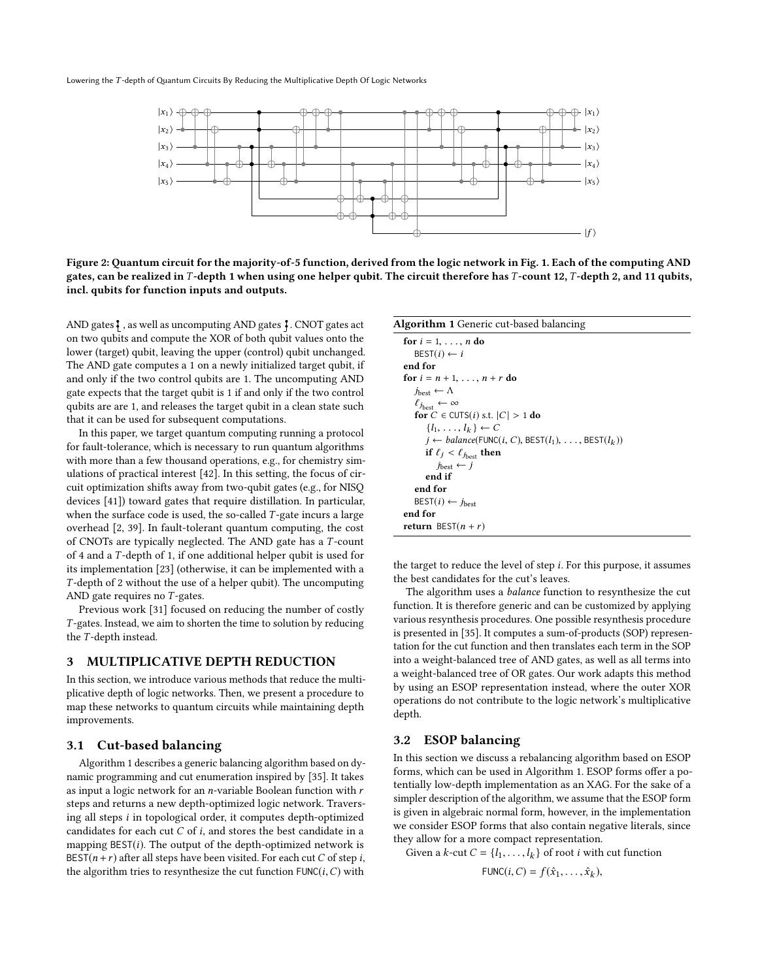<span id="page-2-0"></span>Lowering the T -depth of Quantum Circuits By Reducing the Multiplicative Depth Of Logic Networks



Figure 2: Quantum circuit for the majority-of-5 function, derived from the logic network in Fig. [1.](#page-0-0) Each of the computing AND gates, can be realized in T-depth 1 when using one helper qubit. The circuit therefore has T-count 12, T-depth 2, and 11 qubits, incl. qubits for function inputs and outputs.

AND gates  $\frac{2}{7}$ , as well as uncomputing AND gates  $\frac{2}{7}$ . CNOT gates act on two qubits and compute the XOR of both qubit values onto the lower (target) qubit, leaving the upper (control) qubit unchanged. The AND gate computes a 1 on a newly initialized target qubit, if and only if the two control qubits are 1. The uncomputing AND gate expects that the target qubit is 1 if and only if the two control qubits are are 1, and releases the target qubit in a clean state such that it can be used for subsequent computations.

In this paper, we target quantum computing running a protocol for fault-tolerance, which is necessary to run quantum algorithms with more than a few thousand operations, e.g., for chemistry simulations of practical interest [\[42\]](#page-7-27). In this setting, the focus of circuit optimization shifts away from two-qubit gates (e.g., for NISQ devices [\[41\]](#page-7-28)) toward gates that require distillation. In particular, when the surface code is used, the so-called  $T$ -gate incurs a large overhead [\[2,](#page-6-4) [39\]](#page-7-29). In fault-tolerant quantum computing, the cost of CNOTs are typically neglected. The AND gate has a T -count of <sup>4</sup> and a T -depth of 1, if one additional helper qubit is used for its implementation [\[23\]](#page-7-30) (otherwise, it can be implemented with a T -depth of 2 without the use of a helper qubit). The uncomputing AND gate requires no  $T$ -gates.

Previous work [\[31\]](#page-7-8) focused on reducing the number of costly T -gates. Instead, we aim to shorten the time to solution by reducing the T -depth instead.

#### 3 MULTIPLICATIVE DEPTH REDUCTION

In this section, we introduce various methods that reduce the multiplicative depth of logic networks. Then, we present a procedure to map these networks to quantum circuits while maintaining depth improvements.

## 3.1 Cut-based balancing

Algorithm [1](#page-2-1) describes a generic balancing algorithm based on dynamic programming and cut enumeration inspired by [\[35\]](#page-7-17). It takes as input a logic network for an  $n$ -variable Boolean function with  $r$ steps and returns a new depth-optimized logic network. Traversing all steps i in topological order, it computes depth-optimized candidates for each cut  $C$  of  $i$ , and stores the best candidate in a mapping  $\text{BEST}(i)$ . The output of the depth-optimized network is BEST( $n + r$ ) after all steps have been visited. For each cut C of step i, the algorithm tries to resynthesize the cut function  $\text{FUNC}(i, C)$  with

<span id="page-2-1"></span>

| <b>Algorithm 1</b> Generic cut-based balancing                   |
|------------------------------------------------------------------|
| for $i = 1, \ldots, n$ do                                        |
| $\text{BEST}(i) \leftarrow i$                                    |
| end for                                                          |
| for $i = n + 1, , n + r$ do                                      |
| $j_{\text{best}} \leftarrow \Lambda$                             |
| $\ell_{j_{\text{best}}} \leftarrow \infty$                       |
| for $C \in \text{CUTS}(i)$ s.t. $ C  > 1$ do                     |
| $\{l_1, \ldots, l_k\} \leftarrow C$                              |
| $i \leftarrow balance(FUNC(i, C), BEST(l_1), \ldots, BEST(l_k))$ |
| if $\ell_j < \ell_{j_{\text{best}}}$ then                        |
| $j_{\text{best}} \leftarrow j$                                   |
| end if                                                           |
| end for                                                          |
| $\text{BEST}(i) \leftarrow j_{\text{best}}$                      |
| end for                                                          |
| <b>return</b> BEST $(n + r)$                                     |

the target to reduce the level of step i. For this purpose, it assumes the best candidates for the cut's leaves.

The algorithm uses a balance function to resynthesize the cut function. It is therefore generic and can be customized by applying various resynthesis procedures. One possible resynthesis procedure is presented in [\[35\]](#page-7-17). It computes a sum-of-products (SOP) representation for the cut function and then translates each term in the SOP into a weight-balanced tree of AND gates, as well as all terms into a weight-balanced tree of OR gates. Our work adapts this method by using an ESOP representation instead, where the outer XOR operations do not contribute to the logic network's multiplicative depth.

#### 3.2 ESOP balancing

In this section we discuss a rebalancing algorithm based on ESOP forms, which can be used in Algorithm [1.](#page-2-1) ESOP forms offer a potentially low-depth implementation as an XAG. For the sake of a simpler description of the algorithm, we assume that the ESOP form is given in algebraic normal form, however, in the implementation we consider ESOP forms that also contain negative literals, since they allow for a more compact representation.

Given a *k*-cut  $C = \{l_1, \ldots, l_k\}$  of root *i* with cut function

FUNC $(i, C) = f(\hat{x}_1, \ldots, \hat{x}_k),$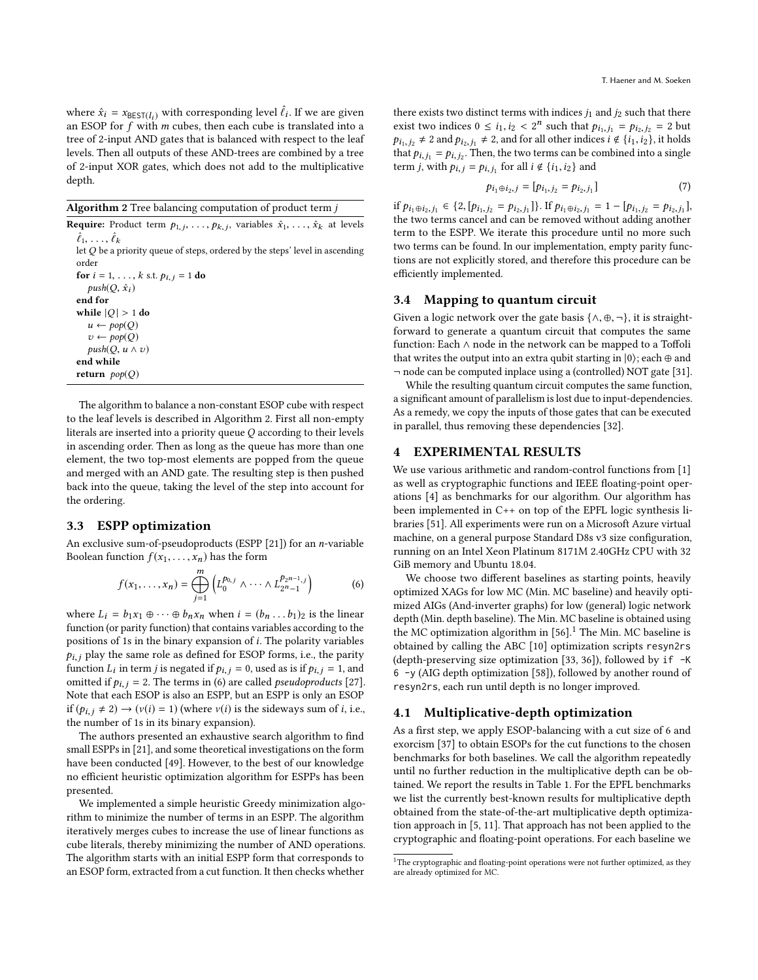where  $\hat{x}_i = x_{\text{BEST}(l_i)}$  with corresponding level  $\hat{\ell}_i$ . If we are given an ESOP for f with m cubes then each cube is translated into a an ESOP for  $f$  with  $m$  cubes, then each cube is translated into a tree of 2-input AND gates that is balanced with respect to the leaf levels. Then all outputs of these AND-trees are combined by a tree of 2-input XOR gates, which does not add to the multiplicative depth.

<span id="page-3-0"></span>

|  |  |  | <b>Algorithm 2</b> Tree balancing computation of product term $j$ |  |  |  |
|--|--|--|-------------------------------------------------------------------|--|--|--|
|  |  |  | 그 그 그 그 사는 그 사는 그 사는 사람들은 그 사람들을 지나 않고 있다.                        |  |  |  |

**Require:** Product term  $p_{1,j}, \ldots, p_{k,j}$ , variables  $\hat{x}_1, \ldots, \hat{x}_k$  at levels  $\hat{\hat{z}}$  $\hat{\ell}_1$  , , , ,  $\hat{\ell}$  $\ell_1, \ldots, \ell_k$ <br>let  $Q$  be a priority queue of steps, ordered by the steps' level in ascending<br>order order for  $i = 1, ..., k$  s.t.  $p_{i,j} = 1$  do  $push(Q, \hat{x}_i)$ end for while  $|Q| > 1$  do  $u \leftarrow pop(Q)$  $v \leftarrow pop(Q)$  $push(Q, u \wedge v)$ end while return  $pop(Q)$ 

The algorithm to balance a non-constant ESOP cube with respect to the leaf levels is described in Algorithm [2.](#page-3-0) First all non-empty literals are inserted into a priority queue  $Q$  according to their levels in ascending order. Then as long as the queue has more than one element, the two top-most elements are popped from the queue and merged with an AND gate. The resulting step is then pushed back into the queue, taking the level of the step into account for the ordering.

#### 3.3 ESPP optimization

An exclusive sum-of-pseudoproducts (ESPP [\[21\]](#page-7-19)) for an *n*-variable Boolean function  $f(x_1, \ldots, x_n)$  has the form

<span id="page-3-1"></span>
$$
f(x_1,...,x_n) = \bigoplus_{j=1}^m \left( L_0^{p_{0,j}} \wedge \cdots \wedge L_{2^{n-1}}^{p_{2^{n-1},j}} \right) \tag{6}
$$

where  $L_i = b_1x_1 \oplus \cdots \oplus b_nx_n$  when  $i = (b_n \ldots b_1)_2$  is the linear function (or parity function) that contains variables according to the positions of 1s in the binary expansion of i. The polarity variables  $p_{i,j}$  play the same role as defined for ESOP forms, i.e., the parity function  $L_i$  in term j is negated if  $p_{i,j} = 0$ , used as is if  $p_{i,j} = 1$ , and omitted if  $p_{i,j} = 2$ . The terms in (6) are called *negularizatives* [27] omitted if  $p_{i,j} = 2$ . The terms in [\(6\)](#page-3-1) are called *pseudoproducts* [\[27\]](#page-7-31). Note that each ESOP is also an ESPP, but an ESPP is only an ESOP if  $(p_{i,j} \neq 2) \rightarrow (v(i) = 1)$  (where  $v(i)$  is the sideways sum of i, i.e., the number of 1s in its binary expansion).

The authors presented an exhaustive search algorithm to find small ESPPs in [\[21\]](#page-7-19), and some theoretical investigations on the form have been conducted [\[49\]](#page-7-32). However, to the best of our knowledge no efficient heuristic optimization algorithm for ESPPs has been presented.

We implemented a simple heuristic Greedy minimization algorithm to minimize the number of terms in an ESPP. The algorithm iteratively merges cubes to increase the use of linear functions as cube literals, thereby minimizing the number of AND operations. The algorithm starts with an initial ESPP form that corresponds to an ESOP form, extracted from a cut function. It then checks whether

there exists two distinct terms with indices  $j_1$  and  $j_2$  such that there exist two indices  $0 \le i_1, i_2 < 2^n$  such that  $p_{i_1, j_1} = p_{i_2, j_2} = 2$  but<br> $p_{i_1, j_1} \ne 2$  and  $p_{i_2, j_2} \ne 2$  and for all other indices  $i \notin \{i_1, i_2\}$  it holds  $p_{i_1,j_2} \neq 2$  and  $p_{i_2,j_1} \neq 2$ , and for all other indices  $i \notin \{i_1,i_2\}$ , it holds that  $p_{i,j_1} = p_{i,j_2}$ . Then, the two terms can be combined into a single<br>term is with  $p_{i,j} = p_{i,j}$  for all i.d. i.e. and term *j*, with  $p_{i,j} = p_{i,j_1}$  for all  $i \notin \{i_1, i_2\}$  and

$$
p_{i_1 \oplus i_2, j} = [p_{i_1, j_2} = p_{i_2, j_1}] \tag{7}
$$

if  $p_{i_1 \oplus i_2, j_1}$  ∈ {2,  $[p_{i_1, j_2} = p_{i_2, j_1}]$ }. If  $p_{i_1 \oplus i_2, j_1} = 1 - [p_{i_1, j_2} = p_{i_2, j_1}]$ ,<br>the two terms cancel and can be removed without adding another the two terms cancel and can be removed without adding another term to the ESPP. We iterate this procedure until no more such two terms can be found. In our implementation, empty parity functions are not explicitly stored, and therefore this procedure can be efficiently implemented.

## 3.4 Mapping to quantum circuit

Given a logic network over the gate basis  $\{\wedge, \oplus, \neg\}$ , it is straightforward to generate a quantum circuit that computes the same function: Each ∧ node in the network can be mapped to a Toffoli that writes the output into an extra qubit starting in  $|0\rangle$ ; each  $\oplus$  and ¬ node can be computed inplace using a (controlled) NOT gate [\[31\]](#page-7-8).

While the resulting quantum circuit computes the same function, a significant amount of parallelism is lost due to input-dependencies. As a remedy, we copy the inputs of those gates that can be executed in parallel, thus removing these dependencies [\[32\]](#page-7-9).

## 4 EXPERIMENTAL RESULTS

We use various arithmetic and random-control functions from [\[1\]](#page-6-5) as well as cryptographic functions and IEEE floating-point operations [\[4\]](#page-6-6) as benchmarks for our algorithm. Our algorithm has been implemented in C++ on top of the EPFL logic synthesis libraries [\[51\]](#page-7-33). All experiments were run on a Microsoft Azure virtual machine, on a general purpose Standard D8s v3 size configuration, running on an Intel Xeon Platinum 8171M 2.40GHz CPU with 32 GiB memory and Ubuntu 18.04.

We choose two different baselines as starting points, heavily optimized XAGs for low MC (Min. MC baseline) and heavily optimized AIGs (And-inverter graphs) for low (general) logic network depth (Min. depth baseline). The Min. MC baseline is obtained using the MC optimization algorithm in  $[56]$ .<sup>[1](#page-3-2)</sup> The Min. MC baseline is obtained by calling the ABC [\[10\]](#page-7-34) optimization scripts resyn2rs (depth-preserving size optimization [\[33,](#page-7-35) [36\]](#page-7-36)), followed by if -K 6 -y (AIG depth optimization [\[58\]](#page-7-37)), followed by another round of resyn2rs, each run until depth is no longer improved.

## 4.1 Multiplicative-depth optimization

As a first step, we apply ESOP-balancing with a cut size of 6 and exorcism [\[37\]](#page-7-22) to obtain ESOPs for the cut functions to the chosen benchmarks for both baselines. We call the algorithm repeatedly until no further reduction in the multiplicative depth can be obtained. We report the results in Table [1.](#page-4-0) For the EPFL benchmarks we list the currently best-known results for multiplicative depth obtained from the state-of-the-art multiplicative depth optimization approach in [\[5,](#page-6-2) [11\]](#page-7-7). That approach has not been applied to the cryptographic and floating-point operations. For each baseline we

<span id="page-3-2"></span> $^{\rm 1}{\rm The}$  cryptographic and floating-point operations were not further optimized, as they are already optimized for MC.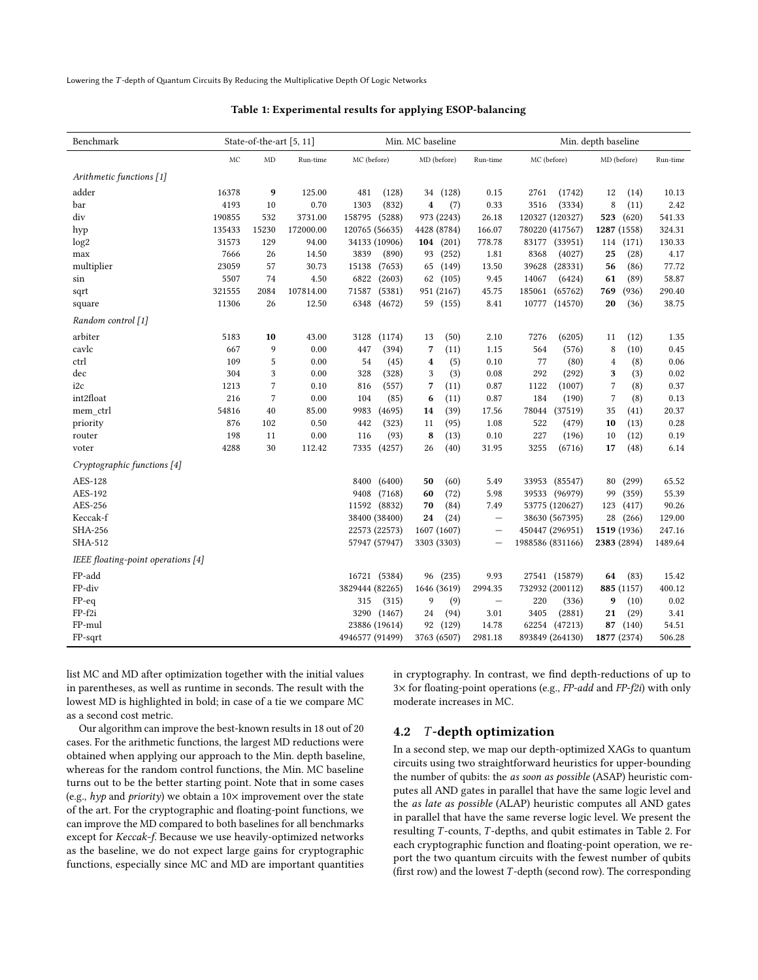<span id="page-4-0"></span>Lowering the T -depth of Quantum Circuits By Reducing the Multiplicative Depth Of Logic Networks

| Benchmark                          |        | State-of-the-art [5, 11] |           |                  | Min. MC baseline |                          | Min. depth baseline |                       |          |  |
|------------------------------------|--------|--------------------------|-----------|------------------|------------------|--------------------------|---------------------|-----------------------|----------|--|
|                                    | MC     | <b>MD</b>                | Run-time  | MC (before)      | MD (before)      | Run-time                 | MC (before)         | MD (before)           | Run-time |  |
| Arithmetic functions [1]           |        |                          |           |                  |                  |                          |                     |                       |          |  |
| adder                              | 16378  | $\boldsymbol{9}$         | 125.00    | 481<br>(128)     | (128)<br>34      | 0.15                     | 2761<br>(1742)      | 12<br>(14)            | 10.13    |  |
| bar                                | 4193   | 10                       | 0.70      | (832)<br>1303    | (7)<br>4         | 0.33                     | 3516<br>(3334)      | 8<br>(11)             | 2.42     |  |
| div                                | 190855 | 532                      | 3731.00   | 158795<br>(5288) | 973 (2243)       | 26.18                    | 120327 (120327)     | 523<br>(620)          | 541.33   |  |
| hyp                                | 135433 | 15230                    | 172000.00 | 120765 (56635)   | 4428 (8784)      | 166.07                   | 780220 (417567)     | 1287 (1558)           | 324.31   |  |
| log <sub>2</sub>                   | 31573  | 129                      | 94.00     | 34133 (10906)    | 104 $(201)$      | 778.78                   | 83177 (33951)       | (171)<br>114          | 130.33   |  |
| max                                | 7666   | 26                       | 14.50     | 3839<br>(890)    | 93<br>(252)      | 1.81                     | 8368<br>(4027)      | 25<br>(28)            | 4.17     |  |
| multiplier                         | 23059  | 57                       | 30.73     | 15138<br>(7653)  | 65<br>(149)      | 13.50                    | 39628<br>(28331)    | 56<br>(86)            | 77.72    |  |
| sin                                | 5507   | 74                       | 4.50      | 6822<br>(2603)   | 62<br>(105)      | 9.45                     | 14067<br>(6424)     | (89)<br>61            | 58.87    |  |
| sqrt                               | 321555 | 2084                     | 107814.00 | 71587<br>(5381)  | 951 (2167)       | 45.75                    | 185061<br>(65762)   | (936)<br>769          | 290.40   |  |
| square                             | 11306  | 26                       | 12.50     | 6348<br>(4672)   | 59 (155)         | 8.41                     | 10777<br>(14570)    | (36)<br>20            | 38.75    |  |
| Random control [1]                 |        |                          |           |                  |                  |                          |                     |                       |          |  |
| arbiter                            | 5183   | 10                       | 43.00     | 3128<br>(1174)   | (50)<br>13       | 2.10                     | 7276<br>(6205)      | (12)<br>11            | 1.35     |  |
| cavlc                              | 667    | 9                        | 0.00      | 447<br>(394)     | 7<br>(11)        | 1.15                     | 564<br>(576)        | (10)<br>8             | 0.45     |  |
| ctrl                               | 109    | 5                        | 0.00      | 54<br>(45)       | (5)<br>4         | 0.10                     | 77<br>(80)          | (8)<br>4              | 0.06     |  |
| dec                                | 304    | 3                        | 0.00      | 328<br>(328)     | 3<br>(3)         | 0.08                     | 292<br>(292)        | (3)<br>3              | 0.02     |  |
| i <sub>2c</sub>                    | 1213   | $\overline{7}$           | 0.10      | (557)<br>816     | 7<br>(11)        | 0.87                     | 1122<br>(1007)      | 7<br>(8)              | 0.37     |  |
| int2float                          | 216    | $\overline{7}$           | 0.00      | 104<br>(85)      | 6<br>(11)        | 0.87                     | 184<br>(190)        | $\overline{7}$<br>(8) | 0.13     |  |
| mem ctrl                           | 54816  | 40                       | 85.00     | 9983<br>(4695)   | (39)<br>14       | 17.56                    | 78044<br>(37519)    | 35<br>(41)            | 20.37    |  |
| priority                           | 876    | 102                      | 0.50      | 442<br>(323)     | (95)<br>11       | 1.08                     | 522<br>(479)        | 10<br>(13)            | 0.28     |  |
| router                             | 198    | 11                       | 0.00      | (93)<br>116      | 8<br>(13)        | 0.10                     | 227<br>(196)        | (12)<br>10            | 0.19     |  |
| voter                              | 4288   | 30                       | 112.42    | 7335<br>(4257)   | 26<br>(40)       | 31.95                    | 3255<br>(6716)      | 17<br>(48)            | 6.14     |  |
| Cryptographic functions [4]        |        |                          |           |                  |                  |                          |                     |                       |          |  |
| AES-128                            |        |                          |           | 8400<br>(6400)   | (60)<br>50       | 5.49                     | 33953<br>(85547)    | (299)<br>80           | 65.52    |  |
| AES-192                            |        |                          |           | 9408<br>(7168)   | (72)<br>60       | 5.98                     | 39533<br>(96979)    | 99<br>(359)           | 55.39    |  |
| AES-256                            |        |                          |           | 11592<br>(8832)  | 70<br>(84)       | 7.49                     | 53775 (120627)      | 123<br>(417)          | 90.26    |  |
| Keccak-f                           |        |                          |           | 38400 (38400)    | (24)<br>24       | $\overline{\phantom{0}}$ | 38630 (567395)      | 28<br>(266)           | 129.00   |  |
| SHA-256                            |        |                          |           | 22573 (22573)    | 1607 (1607)      | $\overline{\phantom{0}}$ | 450447 (296951)     | 1519 (1936)           | 247.16   |  |
| SHA-512                            |        |                          |           | 57947 (57947)    | 3303 (3303)      | $\overline{\phantom{0}}$ | 1988586 (831166)    | 2383 (2894)           | 1489.64  |  |
| IEEE floating-point operations [4] |        |                          |           |                  |                  |                          |                     |                       |          |  |
| FP-add                             |        |                          |           | 16721 (5384)     | (235)<br>96      | 9.93                     | 27541 (15879)       | 64<br>(83)            | 15.42    |  |
| FP-div                             |        |                          |           | 3829444 (82265)  | 1646 (3619)      | 2994.35                  | 732932 (200112)     | 885 (1157)            | 400.12   |  |
| $FP-eq$                            |        |                          |           | 315<br>(315)     | 9<br>(9)         | $\qquad \qquad -$        | 220<br>(336)        | 9<br>(10)             | 0.02     |  |
| FP-f2i                             |        |                          |           | 3290 (1467)      | 24<br>(94)       | 3.01                     | 3405<br>(2881)      | 21<br>(29)            | 3.41     |  |
| FP-mul                             |        |                          |           | 23886 (19614)    | 92<br>(129)      | 14.78                    | 62254<br>(47213)    | 87<br>(140)           | 54.51    |  |
| $FP$ -sqrt                         |        |                          |           | 4946577 (91499)  | 3763 (6507)      | 2981.18                  | 893849 (264130)     | 1877 (2374)           | 506.28   |  |

#### Table 1: Experimental results for applying ESOP-balancing

list MC and MD after optimization together with the initial values in parentheses, as well as runtime in seconds. The result with the lowest MD is highlighted in bold; in case of a tie we compare MC as a second cost metric.

Our algorithm can improve the best-known results in 18 out of 20 cases. For the arithmetic functions, the largest MD reductions were obtained when applying our approach to the Min. depth baseline, whereas for the random control functions, the Min. MC baseline turns out to be the better starting point. Note that in some cases (e.g.,  $hyp$  and  $priority$ ) we obtain a  $10\times$  improvement over the state of the art. For the cryptographic and floating-point functions, we can improve the MD compared to both baselines for all benchmarks except for Keccak-f. Because we use heavily-optimized networks as the baseline, we do not expect large gains for cryptographic functions, especially since MC and MD are important quantities in cryptography. In contrast, we find depth-reductions of up to  $3\times$  for floating-point operations (e.g., FP-add and FP-f2i) with only moderate increases in MC.

# 4.2 T -depth optimization

In a second step, we map our depth-optimized XAGs to quantum circuits using two straightforward heuristics for upper-bounding the number of qubits: the as soon as possible (ASAP) heuristic computes all AND gates in parallel that have the same logic level and the as late as possible (ALAP) heuristic computes all AND gates in parallel that have the same reverse logic level. We present the resulting T-counts, T-depths, and qubit estimates in Table [2.](#page-6-7) For each cryptographic function and floating-point operation, we report the two quantum circuits with the fewest number of qubits (first row) and the lowest T -depth (second row). The corresponding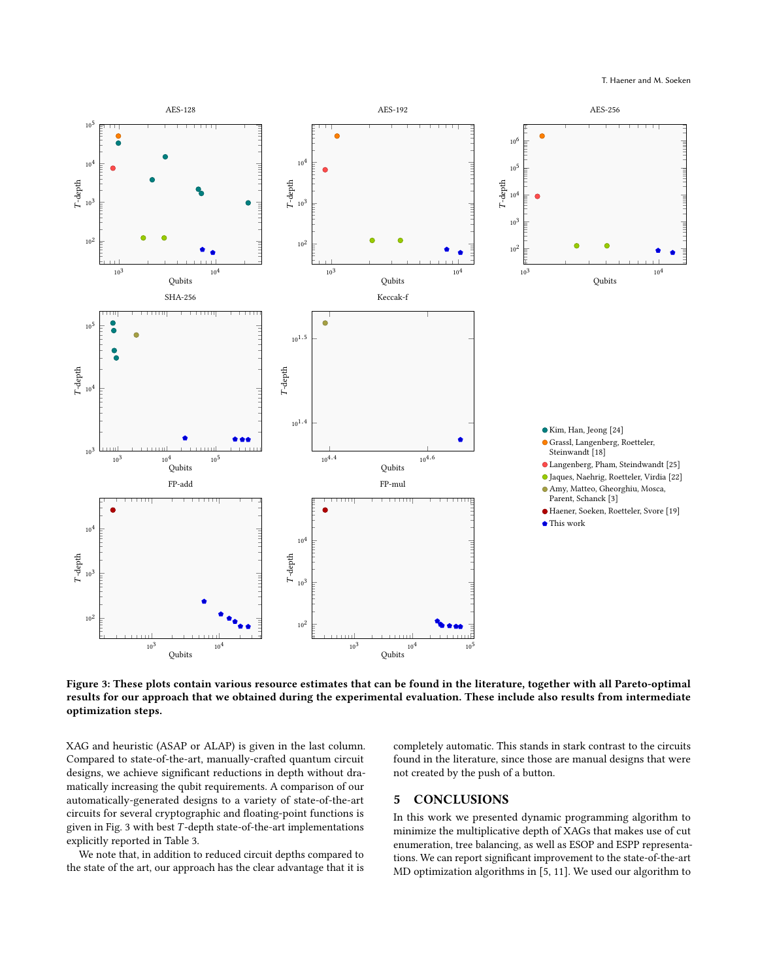<span id="page-5-0"></span>

Figure 3: These plots contain various resource estimates that can be found in the literature, together with all Pareto-optimal results for our approach that we obtained during the experimental evaluation. These include also results from intermediate optimization steps.

XAG and heuristic (ASAP or ALAP) is given in the last column. Compared to state-of-the-art, manually-crafted quantum circuit designs, we achieve significant reductions in depth without dramatically increasing the qubit requirements. A comparison of our automatically-generated designs to a variety of state-of-the-art circuits for several cryptographic and floating-point functions is given in Fig. [3](#page-5-0) with best T -depth state-of-the-art implementations explicitly reported in Table [3.](#page-6-9)

We note that, in addition to reduced circuit depths compared to the state of the art, our approach has the clear advantage that it is completely automatic. This stands in stark contrast to the circuits found in the literature, since those are manual designs that were not created by the push of a button.

# 5 CONCLUSIONS

In this work we presented dynamic programming algorithm to minimize the multiplicative depth of XAGs that makes use of cut enumeration, tree balancing, as well as ESOP and ESPP representations. We can report significant improvement to the state-of-the-art MD optimization algorithms in [\[5,](#page-6-2) [11\]](#page-7-7). We used our algorithm to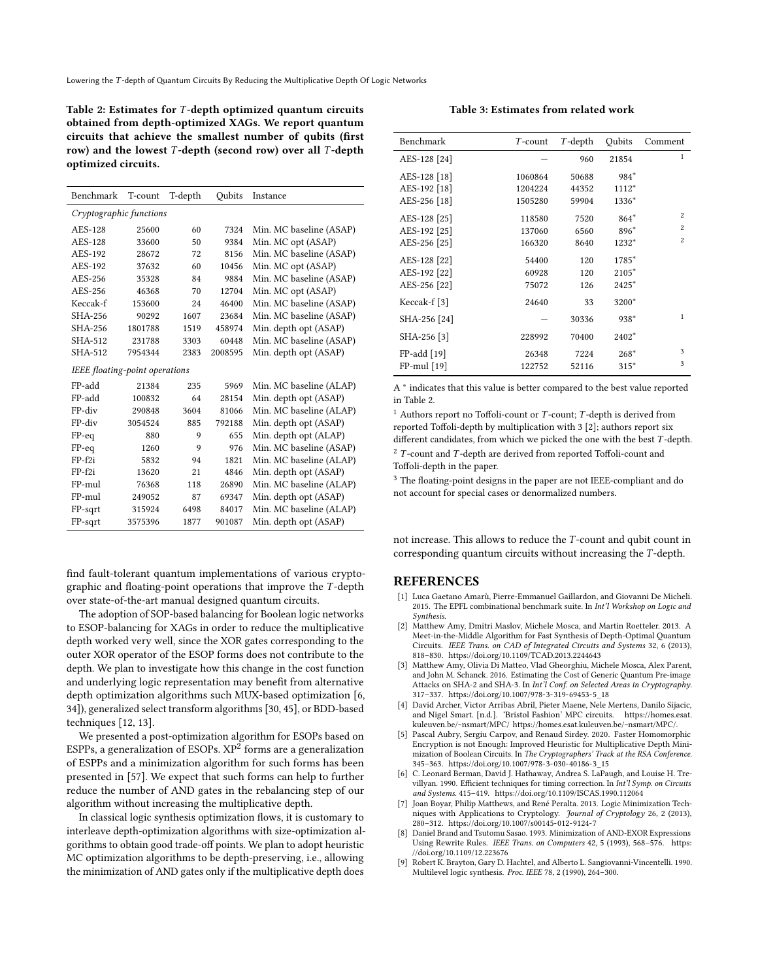<span id="page-6-7"></span>Table 2: Estimates for T -depth optimized quantum circuits obtained from depth-optimized XAGs. We report quantum circuits that achieve the smallest number of qubits (first row) and the lowest  $T$ -depth (second row) over all  $T$ -depth optimized circuits.

| Benchmark                      | T-count | T-depth | Oubits  | Instance                |  |  |  |  |
|--------------------------------|---------|---------|---------|-------------------------|--|--|--|--|
| Cryptographic functions        |         |         |         |                         |  |  |  |  |
| AES-128                        | 25600   | 60      | 7324    | Min. MC baseline (ASAP) |  |  |  |  |
| AES-128                        | 33600   | 50      | 9384    | Min. MC opt (ASAP)      |  |  |  |  |
| AES-192                        | 28672   | 72      | 8156    | Min. MC baseline (ASAP) |  |  |  |  |
| AES-192                        | 37632   | 60      | 10456   | Min. MC opt (ASAP)      |  |  |  |  |
| AES-256                        | 35328   | 84      | 9884    | Min. MC baseline (ASAP) |  |  |  |  |
| AES-256                        | 46368   | 70      | 12704   | Min. MC opt (ASAP)      |  |  |  |  |
| Keccak-f                       | 153600  | 24      | 46400   | Min. MC baseline (ASAP) |  |  |  |  |
| SHA-256                        | 90292   | 1607    | 23684   | Min. MC baseline (ASAP) |  |  |  |  |
| SHA-256                        | 1801788 | 1519    | 458974  | Min. depth opt (ASAP)   |  |  |  |  |
| SHA-512                        | 231788  | 3303    | 60448   | Min. MC baseline (ASAP) |  |  |  |  |
| SHA-512                        | 7954344 | 2383    | 2008595 | Min. depth opt (ASAP)   |  |  |  |  |
| IEEE floating-point operations |         |         |         |                         |  |  |  |  |
| FP-add                         | 21384   | 235     | 5969    | Min. MC baseline (ALAP) |  |  |  |  |
| FP-add                         | 100832  | 64      | 28154   | Min. depth opt (ASAP)   |  |  |  |  |
| FP-div                         | 290848  | 3604    | 81066   | Min. MC baseline (ALAP) |  |  |  |  |
| FP-div                         | 3054524 | 885     | 792188  | Min. depth opt (ASAP)   |  |  |  |  |
| $FP-eq$                        | 880     | 9       | 655     | Min. depth opt (ALAP)   |  |  |  |  |
| $FP$ -eq                       | 1260    | 9       | 976     | Min. MC baseline (ASAP) |  |  |  |  |
| FP-f2i                         | 5832    | 94      | 1821    | Min. MC baseline (ALAP) |  |  |  |  |
| FP-f2i                         | 13620   | 21      | 4846    | Min. depth opt (ASAP)   |  |  |  |  |
| FP-mul                         | 76368   | 118     | 26890   | Min. MC baseline (ALAP) |  |  |  |  |
| FP-mul                         | 249052  | 87      | 69347   | Min. depth opt (ASAP)   |  |  |  |  |
| $FP$ -sqrt                     | 315924  | 6498    | 84017   | Min. MC baseline (ALAP) |  |  |  |  |
| $FP$ -sqrt                     | 3575396 | 1877    | 901087  | Min. depth opt (ASAP)   |  |  |  |  |

find fault-tolerant quantum implementations of various cryptographic and floating-point operations that improve the T -depth over state-of-the-art manual designed quantum circuits.

The adoption of SOP-based balancing for Boolean logic networks to ESOP-balancing for XAGs in order to reduce the multiplicative depth worked very well, since the XOR gates corresponding to the outer XOR operator of the ESOP forms does not contribute to the depth. We plan to investigate how this change in the cost function and underlying logic representation may benefit from alternative depth optimization algorithms such MUX-based optimization [\[6,](#page-6-10) [34\]](#page-7-43)), generalized select transform algorithms [\[30,](#page-7-44) [45\]](#page-7-45), or BDD-based techniques [\[12,](#page-7-46) [13\]](#page-7-47).

We presented a post-optimization algorithm for ESOPs based on ESPPs, a generalization of ESOPs.  $XP^2$  forms are a generalization of ESPPs and a minimization algorithm for such forms has been presented in [\[57\]](#page-7-48). We expect that such forms can help to further reduce the number of AND gates in the rebalancing step of our algorithm without increasing the multiplicative depth.

In classical logic synthesis optimization flows, it is customary to interleave depth-optimization algorithms with size-optimization algorithms to obtain good trade-off points. We plan to adopt heuristic MC optimization algorithms to be depth-preserving, i.e., allowing the minimization of AND gates only if the multiplicative depth does

#### Table 3: Estimates from related work

<span id="page-6-9"></span>

| Benchmark               | $T$ -count | $T$ -depth | Oubits  | Comment        |
|-------------------------|------------|------------|---------|----------------|
| AES-128 [24]            |            | 960        | 21854   | 1              |
| AES-128 [18]            | 1060864    | 50688      | 984*    |                |
| AES-192 <sup>[18]</sup> | 1204224    | 44352      | $1112*$ |                |
| AES-256 [18]            | 1505280    | 59904      | 1336*   |                |
| AES-128 <sup>[25]</sup> | 118580     | 7520       | $864*$  | $\overline{2}$ |
| AES-192 <sup>[25]</sup> | 137060     | 6560       | $896*$  | 2              |
| AES-256 [25]            | 166320     | 8640       | 1232*   | $\overline{2}$ |
| AES-128 [22]            | 54400      | 120        | 1785*   |                |
| AES-192 [22]            | 60928      | 120        | $2105*$ |                |
| AES-256 [22]            | 75072      | 126        | $2425*$ |                |
| Keccak-f [3]            | 24640      | 33         | 3200*   |                |
| SHA-256 [24]            |            | 30336      | 938*    | $\mathbf{1}$   |
| SHA-256 [3]             | 228992     | 70400      | $2402*$ |                |
| FP-add [19]             | 26348      | 7224       | $268*$  | 3              |
| $FP$ -mul [19]          | 122752     | 52116      | $315*$  | 3              |

A<sup>\*</sup> indicates that this value is better compared to the best value reported in Table [2.](#page-6-7)

<sup>1</sup> Authors report no Toffoli-count or  $T$ -count;  $T$ -depth is derived from reported Toffoli-depth by multiplication with 3 [\[2\]](#page-6-4); authors report six different candidates, from which we picked the one with the best T -depth.  $^{2}$  T-count and T-depth are derived from reported Toffoli-count and Toffoli-depth in the paper. Toffoli-depth in the paper.

<sup>3</sup> The floating-point designs in the paper are not IEEE-compliant and do not account for special cases or denormalized numbers.

not increase. This allows to reduce the T -count and qubit count in corresponding quantum circuits without increasing the T -depth.

## **REFERENCES**

- <span id="page-6-5"></span>[1] Luca Gaetano Amarù, Pierre-Emmanuel Gaillardon, and Giovanni De Micheli. 2015. The EPFL combinational benchmark suite. In Int'l Workshop on Logic and Synthesis.
- <span id="page-6-4"></span>[2] Matthew Amy, Dmitri Maslov, Michele Mosca, and Martin Roetteler. 2013. A Meet-in-the-Middle Algorithm for Fast Synthesis of Depth-Optimal Quantum Circuits. IEEE Trans. on CAD of Integrated Circuits and Systems 32, 6 (2013), 818–830.<https://doi.org/10.1109/TCAD.2013.2244643>
- <span id="page-6-8"></span>[3] Matthew Amy, Olivia Di Matteo, Vlad Gheorghiu, Michele Mosca, Alex Parent, and John M. Schanck. 2016. Estimating the Cost of Generic Quantum Pre-image Attacks on SHA-2 and SHA-3. In Int'l Conf. on Selected Areas in Cryptography. 317–337. [https://doi.org/10.1007/978-3-319-69453-5\\_18](https://doi.org/10.1007/978-3-319-69453-5_18)
- <span id="page-6-6"></span>[4] David Archer, Victor Arribas Abril, Pieter Maene, Nele Mertens, Danilo Sijacic, and Nigel Smart. [n.d.]. 'Bristol Fashion' MPC circuits. [https://homes.esat.](https://homes.esat.kuleuven.be/~nsmart/MPC/) [kuleuven.be/~nsmart/MPC/](https://homes.esat.kuleuven.be/~nsmart/MPC/) https://homes.esat.kuleuven.be/~nsmart/MPC/.
- <span id="page-6-2"></span>[5] Pascal Aubry, Sergiu Carpov, and Renaud Sirdey. 2020. Faster Homomorphic Encryption is not Enough: Improved Heuristic for Multiplicative Depth Minimization of Boolean Circuits. In The Cryptographers' Track at the RSA Conference. 345–363. [https://doi.org/10.1007/978-3-030-40186-3\\_15](https://doi.org/10.1007/978-3-030-40186-3_15)
- <span id="page-6-10"></span>[6] C. Leonard Berman, David J. Hathaway, Andrea S. LaPaugh, and Louise H. Trevillyan. 1990. Efficient techniques for timing correction. In Int'l Symp. on Circuits and Systems. 415–419.<https://doi.org/10.1109/ISCAS.1990.112064>
- <span id="page-6-1"></span>[7] Joan Boyar, Philip Matthews, and René Peralta. 2013. Logic Minimization Techniques with Applications to Cryptology. Journal of Cryptology 26, 2 (2013), 280–312.<https://doi.org/10.1007/s00145-012-9124-7>
- <span id="page-6-3"></span>[8] Daniel Brand and Tsutomu Sasao. 1993. Minimization of AND-EXOR Expressions Using Rewrite Rules. IEEE Trans. on Computers 42, 5 (1993), 568–576. [https:](https://doi.org/10.1109/12.223676) [//doi.org/10.1109/12.223676](https://doi.org/10.1109/12.223676)
- <span id="page-6-0"></span>[9] Robert K. Brayton, Gary D. Hachtel, and Alberto L. Sangiovanni-Vincentelli. 1990. Multilevel logic synthesis. Proc. IEEE 78, 2 (1990), 264–300.